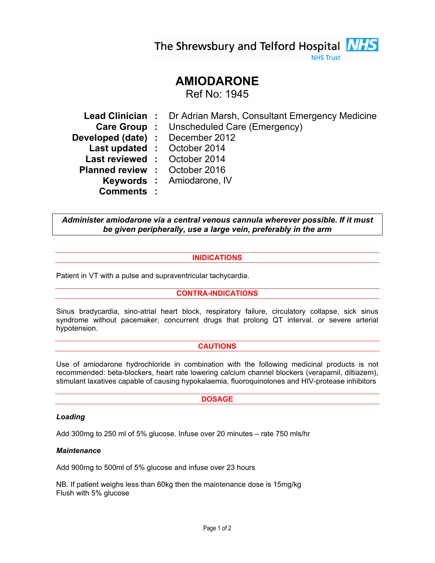The Shrewsbury and Telford Hospital **NHS** 

**NHS Trust** 

# AMIODARONE

Ref No: 1945

Lead Clinician : Dr Adrian Marsh, Consultant Emergency Medicine Care Group : Unscheduled Care (Emergency) Developed (date) : December 2012 Last updated : October 2014 Last reviewed : October 2014 Planned review : October 2016 Keywords : Amiodarone, IV Comments :

Administer amiodarone via a central venous cannula wherever possible. If it must be given peripherally, use a large vein, preferably in the arm

# INIDICATIONS

Patient in VT with a pulse and supraventricular tachycardia.

# CONTRA-INDICATIONS

Sinus bradycardia, sino-atrial heart block, respiratory failure, circulatory collapse, sick sinus syndrome without pacemaker, concurrent drugs that prolong QT interval. or severe arterial hypotension.

## **CAUTIONS**

Use of amiodarone hydrochloride in combination with the following medicinal products is not recommended: beta-blockers, heart rate lowering calcium channel blockers (verapamil, diltiazem), stimulant laxatives capable of causing hypokalaemia, fluoroquinolones and HIV-protease inhibitors

## **DOSAGE**

## Loading

Add 300mg to 250 ml of 5% glucose. Infuse over 20 minutes – rate 750 mls/hr

#### **Maintenance**

Add 900mg to 500ml of 5% glucose and infuse over 23 hours

NB. If patient weighs less than 60kg then the maintenance dose is 15mg/kg Flush with 5% glucose